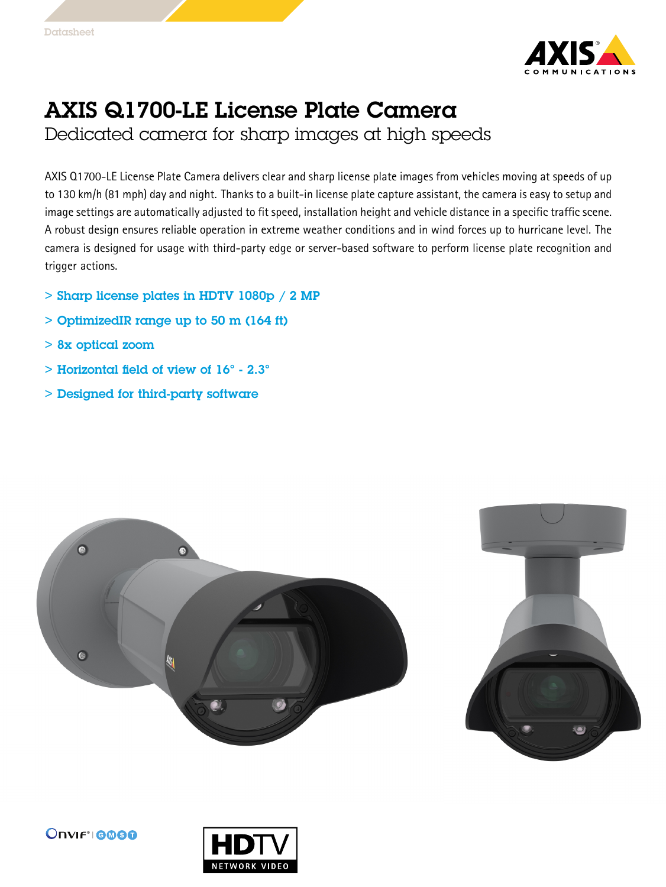

## AXIS Q1700-LE License Plate Camera

Dedicated camera for sharp images at high speeds

AXIS Q1700-LE License Plate Camera delivers clear and sharp license plate images from vehicles moving at speeds of up to <sup>130</sup> km/h (81 mph) day and night. Thanks to <sup>a</sup> built-in license plate capture assistant, the camera is easy to setup and image settings are automatically adjusted to fit speed, installation height and vehicle distance in <sup>a</sup> specific traffic scene. A robust design ensures reliable operation in extreme weather conditions and in wind forces up to hurricane level. The camera is designed for usage with third-party edge or server-based software to perform license plate recognition and trigger actions.

- $>$  Sharp license plates in HDTV 1080p  $/$  2 MP
- > OptimizedIR range up to 50 <sup>m</sup> (164 ft)
- > 8x optical zoom
- $>$  Horizontal field of view of  $16^{\circ}$  2.3 $^{\circ}$
- > Designed for third-party software





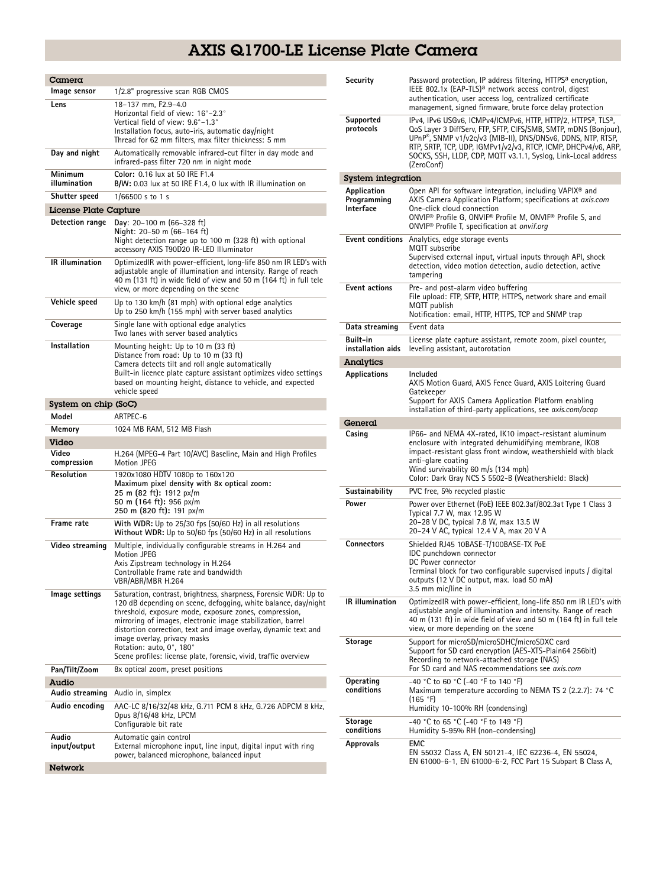## AXIS Q1700-LE License Plate Camera

| Camera                   |                                                                                                                                      |
|--------------------------|--------------------------------------------------------------------------------------------------------------------------------------|
| Image sensor             | 1/2.8" progressive scan RGB CMOS                                                                                                     |
| Lens                     | 18-137 mm. F2.9-4.0                                                                                                                  |
|                          | Horizontal field of view: 16°-2.3°                                                                                                   |
|                          | Vertical field of view: 9.6°-1.3°                                                                                                    |
|                          | Installation focus, auto-iris, automatic day/night<br>Thread for 62 mm filters, max filter thickness: 5 mm                           |
| Day and night            | Automatically removable infrared-cut filter in day mode and                                                                          |
|                          | infrared-pass filter 720 nm in night mode                                                                                            |
| Minimum                  | Color: 0.16 lux at 50 IRE F1.4                                                                                                       |
| illumination             | B/W: 0.03 lux at 50 IRE F1.4, 0 lux with IR illumination on                                                                          |
| Shutter speed            | 1/66500 s to 1 s                                                                                                                     |
| License Plate Capture    |                                                                                                                                      |
| Detection range          | Day: $20-100$ m $(66-328$ ft)<br>Night: 20-50 m (66-164 ft)                                                                          |
|                          | Night detection range up to 100 m (328 ft) with optional                                                                             |
|                          | accessory AXIS T90D20 IR-LED Illuminator                                                                                             |
| <b>IR</b> illumination   | OptimizedIR with power-efficient, long-life 850 nm IR LED's with                                                                     |
|                          | adjustable angle of illumination and intensity. Range of reach<br>40 m (131 ft) in wide field of view and 50 m (164 ft) in full tele |
|                          | view, or more depending on the scene                                                                                                 |
| Vehicle speed            | Up to 130 km/h (81 mph) with optional edge analytics                                                                                 |
|                          | Up to 250 km/h (155 mph) with server based analytics                                                                                 |
| Coverage                 | Single lane with optional edge analytics                                                                                             |
|                          | Two lanes with server based analytics                                                                                                |
| Installation             | Mounting height: Up to 10 m (33 ft)<br>Distance from road: Up to 10 m (33 ft)                                                        |
|                          | Camera detects tilt and roll angle automatically                                                                                     |
|                          | Built-in licence plate capture assistant optimizes video settings                                                                    |
|                          | based on mounting height, distance to vehicle, and expected<br>vehicle speed                                                         |
| System on chip (SoC)     |                                                                                                                                      |
| Model                    | ARTPEC-6                                                                                                                             |
|                          |                                                                                                                                      |
| Memory                   | 1024 MB RAM, 512 MB Flash                                                                                                            |
| Video                    |                                                                                                                                      |
| Video                    | H.264 (MPEG-4 Part 10/AVC) Baseline, Main and High Profiles                                                                          |
| compression              | Motion JPEG                                                                                                                          |
| Resolution               | 1920x1080 HDTV 1080p to 160x120                                                                                                      |
|                          | Maximum pixel density with 8x optical zoom:<br>25 m (82 ft): 1912 px/m                                                               |
|                          | 50 m (164 ft): 956 px/m                                                                                                              |
|                          | 250 m (820 ft): 191 px/m                                                                                                             |
| Frame rate               | With WDR: Up to 25/30 fps (50/60 Hz) in all resolutions<br>Without WDR: Up to 50/60 fps (50/60 Hz) in all resolutions                |
| Video streaming          | Multiple, individually configurable streams in H.264 and                                                                             |
|                          | <b>Motion JPEG</b><br>Axis Zipstream technology in H.264                                                                             |
|                          | Controllable frame rate and bandwidth                                                                                                |
|                          | VBR/ABR/MBR H.264                                                                                                                    |
| Image settings           | Saturation, contrast, brightness, sharpness, Forensic WDR: Up to<br>120 dB depending on scene, defogging, white balance, day/night   |
|                          | threshold, exposure mode, exposure zones, compression,                                                                               |
|                          | mirroring of images, electronic image stabilization, barrel<br>distortion correction, text and image overlay, dynamic text and       |
|                          | image overlay, privacy masks                                                                                                         |
|                          | Rotation: auto, 0°, 180°                                                                                                             |
|                          | Scene profiles: license plate, forensic, vivid, traffic overview                                                                     |
| Pan/Tilt/Zoom            | 8x optical zoom, preset positions                                                                                                    |
| Audio<br>Audio streaming | Audio in, simplex                                                                                                                    |
| Audio encoding           |                                                                                                                                      |
|                          | AAC-LC 8/16/32/48 kHz, G.711 PCM 8 kHz, G.726 ADPCM 8 kHz,<br>Opus 8/16/48 kHz, LPCM                                                 |
|                          | Configurable bit rate                                                                                                                |
| Audio                    | Automatic gain control                                                                                                               |
| input/output             | External microphone input, line input, digital input with ring<br>power, balanced microphone, balanced input                         |

| Security                                | Password protection, IP address filtering, HTTPS <sup>a</sup> encryption,<br>IEEE 802.1x (EAP-TLS) <sup>a</sup> network access control, digest<br>authentication, user access log, centralized certificate<br>management, signed firmware, brute force delay protection                                                                                                     |
|-----------------------------------------|-----------------------------------------------------------------------------------------------------------------------------------------------------------------------------------------------------------------------------------------------------------------------------------------------------------------------------------------------------------------------------|
| Supported<br>protocols                  | IPv4, IPv6 USGv6, ICMPv4/ICMPv6, HTTP, HTTP/2, HTTPS <sup>a</sup> , TLS <sup>a</sup> ,<br>QoS Layer 3 DiffServ, FTP, SFTP, CIFS/SMB, SMTP, mDNS (Bonjour),<br>UPnP®, SNMP v1/v2c/v3 (MIB-II), DNS/DNSv6, DDNS, NTP, RTSP,<br>RTP, SRTP, TCP, UDP, IGMPv1/v2/v3, RTCP, ICMP, DHCPv4/v6, ARP,<br>SOCKS, SSH, LLDP, CDP, MQTT v3.1.1, Syslog, Link-Local address<br>(ZeroConf) |
| <b>System integration</b>               |                                                                                                                                                                                                                                                                                                                                                                             |
| Application<br>Programming<br>Interface | Open API for software integration, including VAPIX <sup>®</sup> and<br>AXIS Camera Application Platform; specifications at axis.com<br>One-click cloud connection<br>ONVIF <sup>®</sup> Profile G, ONVIF® Profile M, ONVIF® Profile S, and<br>ONVIF <sup>®</sup> Profile T, specification at onvif.org                                                                      |
|                                         | <b>Event conditions</b> Analytics, edge storage events<br>MQTT subscribe<br>Supervised external input, virtual inputs through API, shock<br>detection, video motion detection, audio detection, active<br>tampering                                                                                                                                                         |
| <b>Event actions</b>                    | Pre- and post-alarm video buffering<br>File upload: FTP, SFTP, HTTP, HTTPS, network share and email<br>MQTT publish<br>Notification: email, HTTP, HTTPS, TCP and SNMP trap                                                                                                                                                                                                  |
| Data streaming                          | Event data                                                                                                                                                                                                                                                                                                                                                                  |
| Built-in                                | License plate capture assistant, remote zoom, pixel counter,                                                                                                                                                                                                                                                                                                                |
| installation aids                       | leveling assistant, autorotation                                                                                                                                                                                                                                                                                                                                            |
| Analytics                               |                                                                                                                                                                                                                                                                                                                                                                             |
| <b>Applications</b>                     | Included<br>AXIS Motion Guard, AXIS Fence Guard, AXIS Loitering Guard<br>Gatekeeper<br>Support for AXIS Camera Application Platform enabling<br>installation of third-party applications, see <i>axis.com/acap</i>                                                                                                                                                          |
| General                                 |                                                                                                                                                                                                                                                                                                                                                                             |
| Casing                                  | IP66- and NEMA 4X-rated, IK10 impact-resistant aluminum<br>enclosure with integrated dehumidifying membrane, IKO8<br>impact-resistant glass front window, weathershield with black<br>anti-glare coating<br>Wind survivability 60 m/s (134 mph)<br>Color: Dark Gray NCS S 5502-B (Weathershield: Black)                                                                     |
| Sustainability                          | PVC free, 5% recycled plastic                                                                                                                                                                                                                                                                                                                                               |
| Power                                   | Power over Ethernet (PoE) IEEE 802.3af/802.3at Type 1 Class 3<br>Typical 7.7 W, max 12.95 W<br>20-28 V DC, typical 7.8 W, max 13.5 W<br>20-24 V AC, typical 12.4 V A, max 20 V A                                                                                                                                                                                            |
| Connectors                              | Shielded RJ45 10BASE-T/100BASE-TX PoE<br>IDC punchdown connector<br>DC Power connector<br>Terminal block for two configurable supervised inputs / digital<br>outputs (12 V DC output, max. load 50 mA)<br>3.5 mm mic/line in                                                                                                                                                |
| IR illumination                         | OptimizedIR with power-efficient, long-life 850 nm IR LED's with<br>adjustable angle of illumination and intensity. Range of reach<br>40 m (131 ft) in wide field of view and 50 m (164 ft) in full tele<br>view, or more depending on the scene                                                                                                                            |
| Storage                                 | Support for microSD/microSDHC/microSDXC card<br>Support for SD card encryption (AES-XTS-Plain64 256bit)<br>Recording to network-attached storage (NAS)<br>For SD card and NAS recommendations see axis.com                                                                                                                                                                  |
| Operating<br>conditions                 | -40 °C to 60 °C (-40 °F to 140 °F)<br>Maximum temperature according to NEMA TS 2 (2.2.7): 74 °C<br>(165 °F)<br>Humidity 10-100% RH (condensing)                                                                                                                                                                                                                             |
| Storage<br>conditions                   | -40 °C to 65 °C (-40 °F to 149 °F)<br>Humidity 5-95% RH (non-condensing)                                                                                                                                                                                                                                                                                                    |
| Approvals                               | EMC<br>EN 55032 Class A, EN 50121-4, IEC 62236-4, EN 55024,<br>EN 61000-6-1, EN 61000-6-2, FCC Part 15 Subpart B Class A,                                                                                                                                                                                                                                                   |